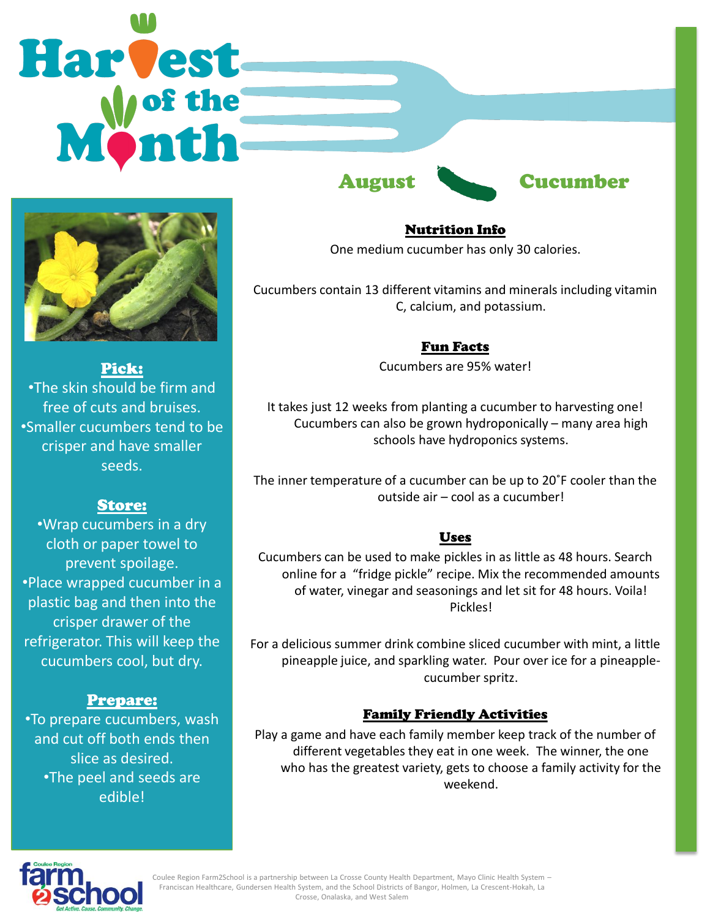# Harvest



Pick: •The skin should be firm and free of cuts and bruises. •Smaller cucumbers tend to be crisper and have smaller seeds.

# Store:

•Wrap cucumbers in a dry cloth or paper towel to prevent spoilage. •Place wrapped cucumber in a plastic bag and then into the crisper drawer of the refrigerator. This will keep the cucumbers cool, but dry.

# Prepare:

•To prepare cucumbers, wash and cut off both ends then slice as desired. •The peel and seeds are edible!

# August Cucumber

# Nutrition Info

One medium cucumber has only 30 calories.

Cucumbers contain 13 different vitamins and minerals including vitamin C, calcium, and potassium.

# Fun Facts

Cucumbers are 95% water!

It takes just 12 weeks from planting a cucumber to harvesting one! Cucumbers can also be grown hydroponically – many area high schools have hydroponics systems.

The inner temperature of a cucumber can be up to 20˚F cooler than the outside air – cool as a cucumber!

# Uses

Cucumbers can be used to make pickles in as little as 48 hours. Search online for a "fridge pickle" recipe. Mix the recommended amounts of water, vinegar and seasonings and let sit for 48 hours. Voila! Pickles!

For a delicious summer drink combine sliced cucumber with mint, a little pineapple juice, and sparkling water. Pour over ice for a pineapplecucumber spritz.

# Family Friendly Activities

Play a game and have each family member keep track of the number of different vegetables they eat in one week. The winner, the one who has the greatest variety, gets to choose a family activity for the weekend.



Coulee Region Farm2School is a partnership between La Crosse County Health Department, Mayo Clinic Health System – Franciscan Healthcare, Gundersen Health System, and the School Districts of Bangor, Holmen, La Crescent-Hokah, La Crosse, Onalaska, and West Salem